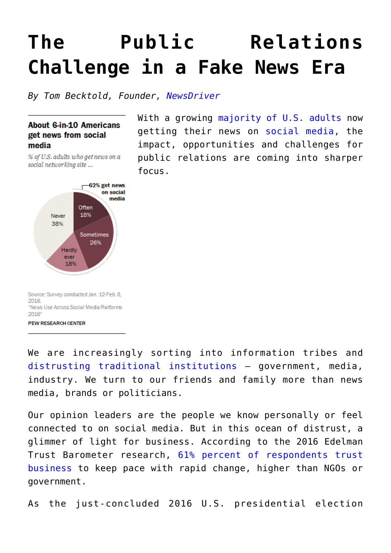## **[The Public Relations](https://www.commpro.biz/the-public-relations-challenge-in-a-fake-news-era/) [Challenge in a Fake News Era](https://www.commpro.biz/the-public-relations-challenge-in-a-fake-news-era/)**

*By Tom Becktold, Founder, [NewsDriver](https://www.newsdriver.com/)*

## **About 6-in-10 Americans** get news from social media

% of U.S. adults who get news on a social networking site ...



Source: Survey conducted Jan. 12-Feb. 8, 2016. "News Use Across Social Media Platforms 2016

**PEW RESEARCH CENTER** 

We are increasingly sorting into information tribes and [distrusting traditional institutions](https://t.umblr.com/redirect?z=http%3A%2F%2Fwww.edelman.com%2Fnews%2F2016-edelman-trust-barometer-release%2F&t=NTU4OTQ3YTNmY2Y2Yzc5NmFhNGNlNmYzNDAzZmQ2YjUyOGRiYjM1YSxUWjlwcHFOQw%3D%3D&b=t%3ASmoKwX6MGqM0ue6eNfflmg&m=1) – government, media, industry. We turn to our friends and family more than news media, brands or politicians.

Our opinion leaders are the people we know personally or feel connected to on social media. But in this ocean of distrust, a glimmer of light for business. According to the 2016 Edelman Trust Barometer research, [61% percent of respondents trust](https://t.umblr.com/redirect?z=http%3A%2F%2Fwww.edelman.com%2Finsights%2Fintellectual-property%2F2016-edelman-trust-barometer%2Fexecutive-summary%2F&t=ZDNmMDA2ZThjNmFlZjQ3ZmM3MDU5OTI4OWJhYzVlNGIyMTczNGVjMSxUWjlwcHFOQw%3D%3D&b=t%3ASmoKwX6MGqM0ue6eNfflmg&m=1) [business](https://t.umblr.com/redirect?z=http%3A%2F%2Fwww.edelman.com%2Finsights%2Fintellectual-property%2F2016-edelman-trust-barometer%2Fexecutive-summary%2F&t=ZDNmMDA2ZThjNmFlZjQ3ZmM3MDU5OTI4OWJhYzVlNGIyMTczNGVjMSxUWjlwcHFOQw%3D%3D&b=t%3ASmoKwX6MGqM0ue6eNfflmg&m=1) to keep pace with rapid change, higher than NGOs or government.

As the just-concluded 2016 U.S. presidential election

With a growing [majority of U.S. adults](https://t.umblr.com/redirect?z=http%3A%2F%2Fwww.journalism.org%2F2016%2F05%2F26%2Fnews-use-across-social-media-platforms-2016%2F&t=YjE5ZDgzMjM4MmVkNzEyYzkxNzg2ZmViNDZjZmM3YzhlODY2YWZmMixUWjlwcHFOQw%3D%3D&b=t%3ASmoKwX6MGqM0ue6eNfflmg&m=1) now getting their news on [social media,](https://www.commpro.biz/social-media-section/) the impact, opportunities and challenges for public relations are coming into sharper focus.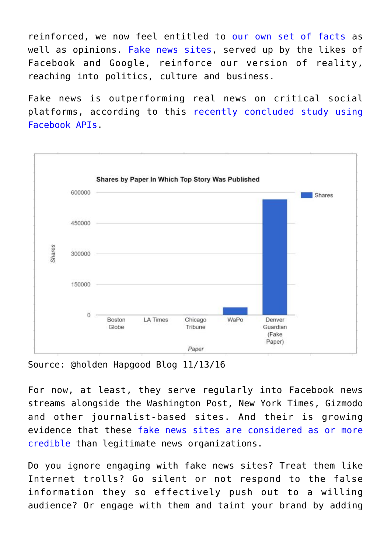reinforced, we now feel entitled to [our own set of facts](https://t.umblr.com/redirect?z=http%3A%2F%2Fwww.mediamatters.org%2Fvideo%2F2016%2F11%2F13%2Fcnns-brian-stelter-implores-reporters-value-truth-and-facts-unlike-anti-media-outlets-breitbart-and%2F214416&t=NzNkZDI4OTU1N2Q3YzNjZDBlZjMzYzBjZGVkNjVmNGQzN2Q4NGRmMyxUWjlwcHFOQw%3D%3D&b=t%3ASmoKwX6MGqM0ue6eNfflmg&m=1) as well as opinions. [Fake news sites,](https://t.umblr.com/redirect?z=http%3A%2F%2Fwww.nytimes.com%2F2016%2F11%2F15%2Ftechnology%2Fgoogle-will-ban-websites-that-host-fake-news-from-using-its-ad-service.html&t=MTVkOGY2Y2M5NmZkOWIxZTkzOWQ3OWE5ZDU2NWQyNTExMjU0OTZiYSxUWjlwcHFOQw%3D%3D&b=t%3ASmoKwX6MGqM0ue6eNfflmg&m=1) served up by the likes of Facebook and Google, reinforce our version of reality, reaching into politics, culture and business.

Fake news is outperforming real news on critical social platforms, according to this [recently concluded study using](https://t.umblr.com/redirect?z=https%3A%2F%2Fmikecaulfield.files.wordpress.com%2F2016%2F11%2Fshares.jpg%3Fw%3D676&t=Yzk5ZGZmZGUyZDBiYjhiMmZiYjgwYTY0NjU3NzY3NzE4Zjk4NTVkMixUWjlwcHFOQw%3D%3D&b=t%3ASmoKwX6MGqM0ue6eNfflmg&m=1) [Facebook APIs](https://t.umblr.com/redirect?z=https%3A%2F%2Fmikecaulfield.files.wordpress.com%2F2016%2F11%2Fshares.jpg%3Fw%3D676&t=Yzk5ZGZmZGUyZDBiYjhiMmZiYjgwYTY0NjU3NzY3NzE4Zjk4NTVkMixUWjlwcHFOQw%3D%3D&b=t%3ASmoKwX6MGqM0ue6eNfflmg&m=1).



Source: @holden Hapgood Blog 11/13/16

For now, at least, they serve regularly into Facebook news streams alongside the Washington Post, New York Times, Gizmodo and other journalist-based sites. And their is growing evidence that these [fake news sites are considered as or more](https://t.umblr.com/redirect?z=http%3A%2F%2Fwww.bbc.com%2Fnews%2Fblogs-trending-37846860&t=NjNkZjNjNzM1ODBkYTVmY2VlMjBkYjI2MWMyZWU3MWM0NTljMjhlYSxUWjlwcHFOQw%3D%3D&b=t%3ASmoKwX6MGqM0ue6eNfflmg&m=1) [credible](https://t.umblr.com/redirect?z=http%3A%2F%2Fwww.bbc.com%2Fnews%2Fblogs-trending-37846860&t=NjNkZjNjNzM1ODBkYTVmY2VlMjBkYjI2MWMyZWU3MWM0NTljMjhlYSxUWjlwcHFOQw%3D%3D&b=t%3ASmoKwX6MGqM0ue6eNfflmg&m=1) than legitimate news organizations.

Do you ignore engaging with fake news sites? Treat them like Internet trolls? Go silent or not respond to the false information they so effectively push out to a willing audience? Or engage with them and taint your brand by adding